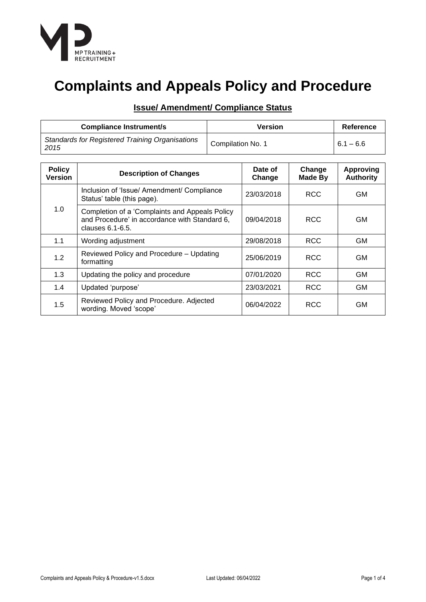

# **Complaints and Appeals Policy and Procedure**

| <b>Compliance Instrument/s</b>                                 | Version           | Reference   |
|----------------------------------------------------------------|-------------------|-------------|
| <b>Standards for Registered Training Organisations</b><br>2015 | Compilation No. 1 | $6.1 - 6.6$ |

| <b>Policy</b><br><b>Version</b> | <b>Description of Changes</b>                                                                                            | Date of<br>Change | Change<br><b>Made By</b> | <b>Approving</b><br><b>Authority</b> |
|---------------------------------|--------------------------------------------------------------------------------------------------------------------------|-------------------|--------------------------|--------------------------------------|
| 1.0                             | Inclusion of 'Issue/ Amendment/ Compliance<br>Status' table (this page).                                                 | 23/03/2018        | <b>RCC</b>               | GМ                                   |
|                                 | Completion of a 'Complaints and Appeals Policy<br>and Procedure' in accordance with Standard 6,<br>clauses $6.1 - 6.5$ . | 09/04/2018        | <b>RCC</b>               | GM                                   |
| 1.1                             | Wording adjustment                                                                                                       | 29/08/2018        | <b>RCC</b>               | <b>GM</b>                            |
| 1.2                             | Reviewed Policy and Procedure - Updating<br>25/06/2019<br>formatting                                                     |                   | <b>RCC</b>               | <b>GM</b>                            |
| 1.3                             | Updating the policy and procedure                                                                                        | 07/01/2020        | <b>RCC</b>               | <b>GM</b>                            |
| 1.4                             | Updated 'purpose'                                                                                                        | 23/03/2021        | <b>RCC</b>               | <b>GM</b>                            |
| 1.5                             | Reviewed Policy and Procedure. Adjected<br>wording. Moved 'scope'                                                        | 06/04/2022        | <b>RCC</b>               | GМ                                   |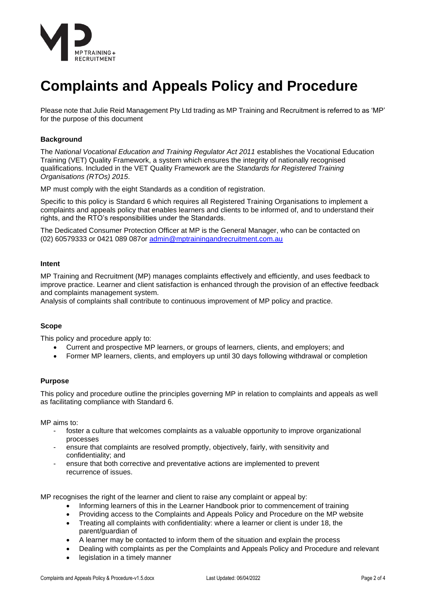

# **Complaints and Appeals Policy and Procedure**

Please note that Julie Reid Management Pty Ltd trading as MP Training and Recruitment is referred to as 'MP' for the purpose of this document

## **Background**

The *National Vocational Education and Training Regulator Act 2011* establishes the Vocational Education Training (VET) Quality Framework, a system which ensures the integrity of nationally recognised qualifications. Included in the VET Quality Framework are the *Standards for Registered Training Organisations (RTOs) 2015*.

MP must comply with the eight Standards as a condition of registration.

Specific to this policy is Standard 6 which requires all Registered Training Organisations to implement a complaints and appeals policy that enables learners and clients to be informed of, and to understand their rights, and the RTO's responsibilities under the Standards.

The Dedicated Consumer Protection Officer at MP is the General Manager, who can be contacted on (02) 60579333 or 0421 089 087or [admin@mptrainingandrecruitment.com.au](mailto:admin@mptrainingandrecruitment.com.au)

## **Intent**

MP Training and Recruitment (MP) manages complaints effectively and efficiently, and uses feedback to improve practice. Learner and client satisfaction is enhanced through the provision of an effective feedback and complaints management system.

Analysis of complaints shall contribute to continuous improvement of MP policy and practice.

## **Scope**

This policy and procedure apply to:

- Current and prospective MP learners, or groups of learners, clients, and employers; and
- Former MP learners, clients, and employers up until 30 days following withdrawal or completion

#### **Purpose**

This policy and procedure outline the principles governing MP in relation to complaints and appeals as well as facilitating compliance with Standard 6.

MP aims to:

- foster a culture that welcomes complaints as a valuable opportunity to improve organizational processes
- ensure that complaints are resolved promptly, objectively, fairly, with sensitivity and confidentiality; and
- ensure that both corrective and preventative actions are implemented to prevent recurrence of issues.

MP recognises the right of the learner and client to raise any complaint or appeal by:

- Informing learners of this in the Learner Handbook prior to commencement of training
- Providing access to the Complaints and Appeals Policy and Procedure on the MP website
- Treating all complaints with confidentiality: where a learner or client is under 18, the parent/guardian of
- A learner may be contacted to inform them of the situation and explain the process
- Dealing with complaints as per the Complaints and Appeals Policy and Procedure and relevant
- legislation in a timely manner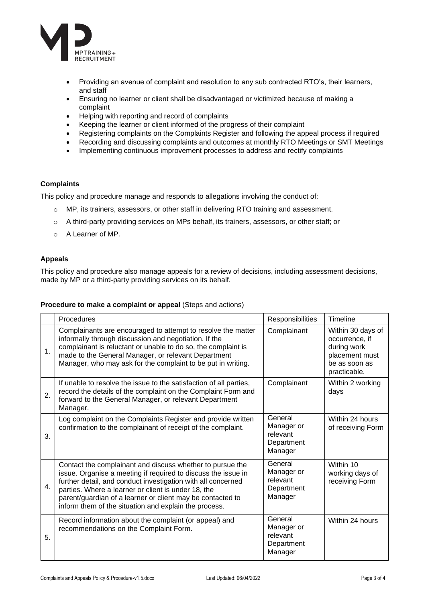

- Providing an avenue of complaint and resolution to any sub contracted RTO's, their learners, and staff
- Ensuring no learner or client shall be disadvantaged or victimized because of making a complaint
- Helping with reporting and record of complaints
- Keeping the learner or client informed of the progress of their complaint
- Registering complaints on the Complaints Register and following the appeal process if required
- Recording and discussing complaints and outcomes at monthly RTO Meetings or SMT Meetings
- Implementing continuous improvement processes to address and rectify complaints

## **Complaints**

This policy and procedure manage and responds to allegations involving the conduct of:

- o MP, its trainers, assessors, or other staff in delivering RTO training and assessment.
- o A third-party providing services on MPs behalf, its trainers, assessors, or other staff; or
- o A Learner of MP.

## **Appeals**

This policy and procedure also manage appeals for a review of decisions, including assessment decisions, made by MP or a third-party providing services on its behalf.

#### **Procedure to make a complaint or appeal** (Steps and actions)

|    | Procedures                                                                                                                                                                                                                                                                                                                                                               | Responsibilities                                           | Timeline                                                                                              |
|----|--------------------------------------------------------------------------------------------------------------------------------------------------------------------------------------------------------------------------------------------------------------------------------------------------------------------------------------------------------------------------|------------------------------------------------------------|-------------------------------------------------------------------------------------------------------|
| 1. | Complainants are encouraged to attempt to resolve the matter<br>informally through discussion and negotiation. If the<br>complainant is reluctant or unable to do so, the complaint is<br>made to the General Manager, or relevant Department<br>Manager, who may ask for the complaint to be put in writing.                                                            | Complainant                                                | Within 30 days of<br>occurrence, if<br>during work<br>placement must<br>be as soon as<br>practicable. |
| 2. | If unable to resolve the issue to the satisfaction of all parties,<br>record the details of the complaint on the Complaint Form and<br>forward to the General Manager, or relevant Department<br>Manager.                                                                                                                                                                | Complainant                                                | Within 2 working<br>days                                                                              |
| 3. | Log complaint on the Complaints Register and provide written<br>confirmation to the complainant of receipt of the complaint.                                                                                                                                                                                                                                             | General<br>Manager or<br>relevant<br>Department<br>Manager | Within 24 hours<br>of receiving Form                                                                  |
| 4. | Contact the complainant and discuss whether to pursue the<br>issue. Organise a meeting if required to discuss the issue in<br>further detail, and conduct investigation with all concerned<br>parties. Where a learner or client is under 18, the<br>parent/guardian of a learner or client may be contacted to<br>inform them of the situation and explain the process. | General<br>Manager or<br>relevant<br>Department<br>Manager | Within 10<br>working days of<br>receiving Form                                                        |
| 5. | Record information about the complaint (or appeal) and<br>recommendations on the Complaint Form.                                                                                                                                                                                                                                                                         | General<br>Manager or<br>relevant<br>Department<br>Manager | Within 24 hours                                                                                       |